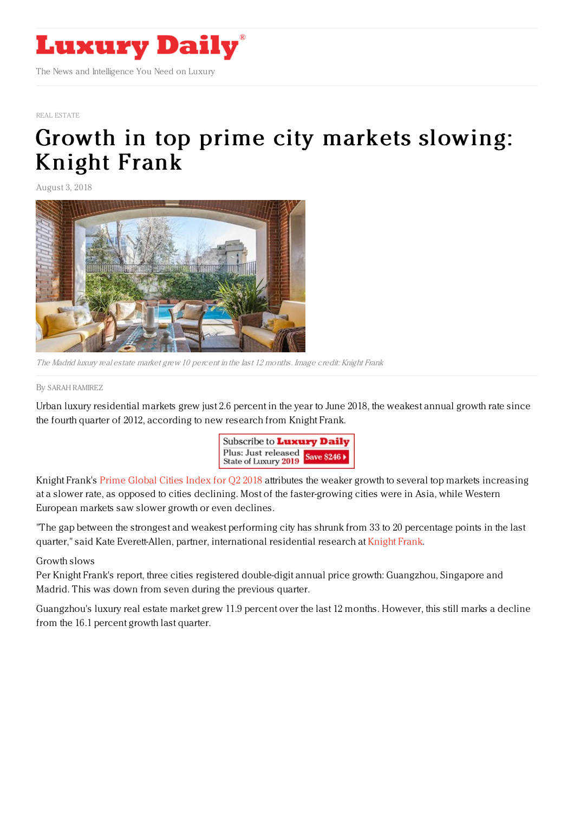

## REAL [ESTATE](https://www.luxurydaily.com/category/sectors/real-estate/)

## Growth in top prime city markets [slowing:](https://www.luxurydaily.com/growth-in-top-prime-city-markets-slowing-knight-frank/) Knight Frank

August 3, 2018



The Madrid luxury real estate market grew 10 percent in the last 12 months. Image credit: Knight Frank

## By SARAH [RAMIREZ](file:///author/sarah-ramirez)

Urban luxury residential markets grew just 2.6 percent in the year to June 2018, the weakest annual growth rate since the fourth quarter of 2012, according to new research from Knight Frank.



Knight Frank's Prime [Global](http://www.knightfrank.co.uk/research/prime-global-cities-index-q2-2018-5744.aspx?search-id=&report-id=323&rank=5) Cities Index for Q2 2018 attributes the weaker growth to several top markets increasing at a slower rate, as opposed to cities declining. Most of the faster-growing cities were in Asia, while Western European markets saw slower growth or even declines.

"The gap between the strongest and weakest performing city has shrunk from 33 to 20 percentage points in the last quarter," said Kate Everett-Allen, partner, international residential research at [Knight](http://www.knightfrank.co.uk) Frank.

Growth slows

Per Knight Frank's report, three cities registered double-digit annual price growth: Guangzhou, Singapore and Madrid. This was down from seven during the previous quarter.

Guangzhou's luxury real estate market grew 11.9 percent over the last 12 months. However, this still marks a decline from the 16.1 percent growth last quarter.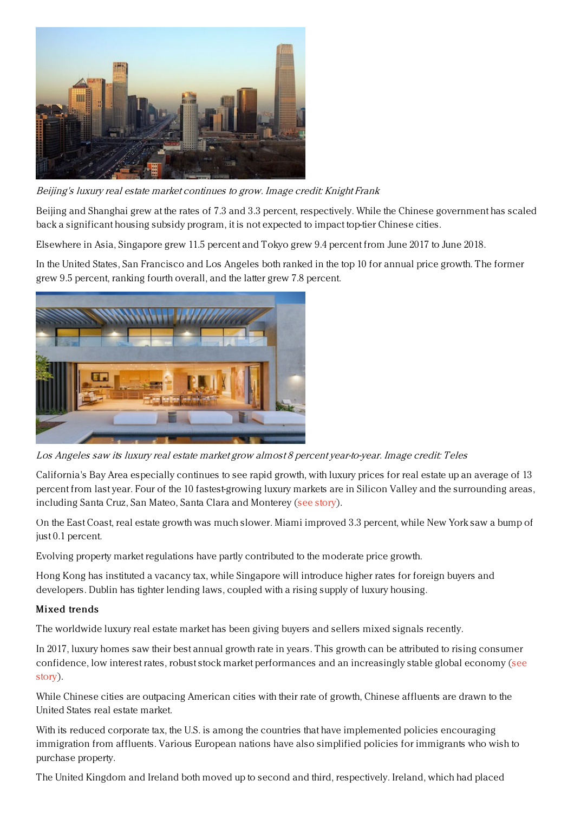

Beijing's luxury real estate market continues to grow. Image credit: Knight Frank

Beijing and Shanghai grew at the rates of 7.3 and 3.3 percent, respectively. While the Chinese government has scaled back a significant housing subsidy program, it is not expected to impact top-tier Chinese cities.

Elsewhere in Asia, Singapore grew 11.5 percent and Tokyo grew 9.4 percent from June 2017 to June 2018.

In the United States, San Francisco and Los Angeles both ranked in the top 10 for annual price growth. The former grew 9.5 percent, ranking fourth overall, and the latter grew 7.8 percent.



Los Angeles saw its luxury real estate market grow almost 8 percent year-to-year. Image credit: Teles

California's Bay Area especially continues to see rapid growth, with luxury prices for real estate up an average of 13 percent from last year. Four of the 10 fastest-growing luxury markets are in Silicon Valley and the surrounding areas, including Santa Cruz, San Mateo, Santa Clara and Monterey (see [story](https://www.luxurydaily.com/luxury-housing-in-high-demand-in-the-us-report/)).

On the East Coast, real estate growth was much slower. Miami improved 3.3 percent, while New York saw a bump of just 0.1 percent.

Evolving property market regulations have partly contributed to the moderate price growth.

Hong Kong has instituted a vacancy tax, while Singapore will introduce higher rates for foreign buyers and developers. Dublin has tighter lending laws, coupled with a rising supply of luxury housing.

## Mixed trends

The worldwide luxury real estate market has been giving buyers and sellers mixed signals recently.

In 2017, luxury homes saw their best annual growth rate in years. This growth can be attributed to rising consumer confidence, low interest rates, robust stock market [performances](https://www.luxurydaily.com/worldwide-luxury-home-sales-have-grown-by-11pc/) and an increasingly stable global economy (see story).

While Chinese cities are outpacing American cities with their rate of growth, Chinese affluents are drawn to the United States real estate market.

With its reduced corporate tax, the U.S. is among the countries that have implemented policies encouraging immigration from affluents. Various European nations have also simplified policies for immigrants who wish to purchase property.

The United Kingdom and Ireland both moved up to second and third, respectively. Ireland, which had placed